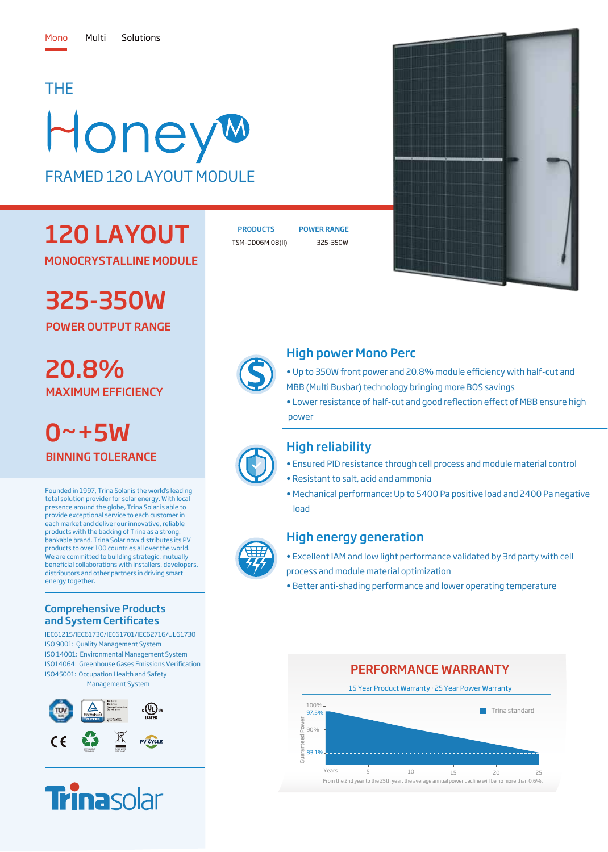### THE

# HoneyM FRAMED 120 LAYOUT MODULE

# 120 LAYOUT

MONOCRYSTALLINE MODULE

# 325-350W

POWER OUTPUT RANGE

## MAXIMUM EFFICIENCY 20.8%

0~+5W BINNING TOLERANCE

Founded in 1997, Trina Solar is the world's leading total solution provider for solar energy. With local presence around the globe, Trina Solar is able to provide exceptional service to each customer in each market and deliver our innovative, reliable products with the backing of Trina as a strong, bankable brand. Trina Solar now distributes its PV products to over 100 countries all over the world. .<br>We are committed to building strategic, mutually beneficial collaborations with installers, developers, distributors and other partners in driving smart energy together.

#### Comprehensive Products and System Certificates

IEC61215/IEC61730/IEC61701/IEC62716/UL61730 ISO 9001: Quality Management System ISO 14001: Environmental Management System ISO45001: Occupation Health and Safety Management System ISO14064: Greenhouse Gases Emissions Verification





TSM-DD06M.08(II) 325-350W PRODUCTS | POWER RANGE



#### High power Mono Perc

- Up to 350W front power and 20.8% module efficiency with half-cut and MBB (Multi Busbar) technology bringing more BOS savings
- Lower resistance of half-cut and good reflection effect of MBB ensure high power



#### High reliability

- Ensured PID resistance through cell process and module material control
- Resistant to salt, acid and ammonia
- Mechanical performance: Up to 5400 Pa positive load and 2400 Pa negative load



#### High energy generation

- Excellent IAM and low light performance validated by 3rd party with cell process and module material optimization
- Better anti-shading performance and lower operating temperature